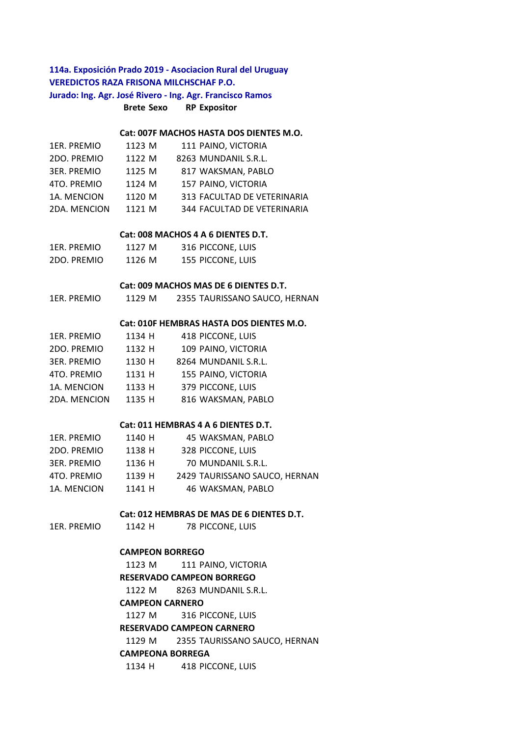# **Brete Sexo RP Expositor 114a. Exposición Prado 2019 - Asociacion Rural del Uruguay VEREDICTOS RAZA FRISONA MILCHSCHAF P.O. Jurado: Ing. Agr. José Rivero - Ing. Agr. Francisco Ramos**

### **Cat: 007F MACHOS HASTA DOS DIENTES M.O.**

| 1ER. PREMIO        | 1123 M | 111 PAINO, VICTORIA         |
|--------------------|--------|-----------------------------|
| 2DO. PREMIO        | 1122 M | 8263 MUNDANIL S.R.L.        |
| <b>3ER. PREMIO</b> | 1125 M | 817 WAKSMAN, PABLO          |
| 4TO. PREMIO        | 1124 M | 157 PAINO, VICTORIA         |
| 1A. MENCION        | 1120 M | 313 FACULTAD DE VETERINARIA |
| 2DA. MENCION       | 1121 M | 344 FACULTAD DE VETERINARIA |

### **Cat: 008 MACHOS 4 A 6 DIENTES D.T.**

| 1ER. PREMIO | 1127 M | 316 PICCONE, LUIS |
|-------------|--------|-------------------|
| 2DO. PREMIO | 1126 M | 155 PICCONE, LUIS |

## **Cat: 009 MACHOS MAS DE 6 DIENTES D.T.**

| 2355 TAURISSANO SAUCO, HERNAN<br>1ER. PREMIO<br>1129 M |  |
|--------------------------------------------------------|--|
|--------------------------------------------------------|--|

#### **Cat: 010F HEMBRAS HASTA DOS DIENTES M.O.**

| 1ER. PREMIO        | 1134 H | 418 PICCONE, LUIS    |
|--------------------|--------|----------------------|
| 2DO. PREMIO        | 1132 H | 109 PAINO, VICTORIA  |
| <b>3ER. PREMIO</b> | 1130 H | 8264 MUNDANIL S.R.L. |
| 4TO. PREMIO        | 1131 H | 155 PAINO, VICTORIA  |
| 1A. MENCION        | 1133 H | 379 PICCONE, LUIS    |
| 2DA. MENCION       | 1135 H | 816 WAKSMAN, PABLO   |

## **Cat: 011 HEMBRAS 4 A 6 DIENTES D.T.**

| 1ER. PREMIO        | 1140 H | 45 WAKSMAN, PABLO             |
|--------------------|--------|-------------------------------|
| 2DO. PREMIO        | 1138 H | 328 PICCONE, LUIS             |
| <b>3ER. PREMIO</b> | 1136 H | 70 MUNDANIL S.R.L.            |
| 4TO. PREMIO        | 1139 H | 2429 TAURISSANO SAUCO, HERNAN |
| 1A. MENCION        | 1141 H | 46 WAKSMAN, PABLO             |

## **Cat: 012 HEMBRAS DE MAS DE 6 DIENTES D.T.**

| 1ER. PREMIO | 1142 H | 78 PICCONE, LUIS |  |
|-------------|--------|------------------|--|
|             |        |                  |  |

#### **CAMPEON BORREGO**

1123 M 111 PAINO, VICTORIA 1122 M 8263 MUNDANIL S.R.L. **RESERVADO CAMPEON BORREGO** 

#### **CAMPEON CARNERO**

1127 M 316 PICCONE, LUIS

## **RESERVADO CAMPEON CARNERO**

1129 M 2355 TAURISSANO SAUCO, HERNAN

# **CAMPEONA BORREGA**

1134 H 418 PICCONE, LUIS